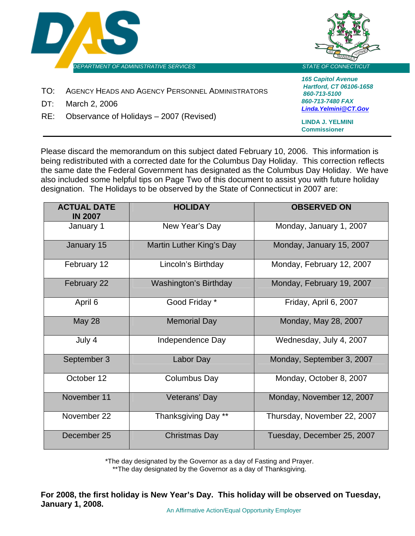

Please discard the memorandum on this subject dated February 10, 2006. This information is being redistributed with a corrected date for the Columbus Day Holiday. This correction reflects the same date the Federal Government has designated as the Columbus Day Holiday. We have also included some helpful tips on Page Two of this document to assist you with future holiday designation. The Holidays to be observed by the State of Connecticut in 2007 are:

**Commissioner**

| <b>ACTUAL DATE</b><br><b>IN 2007</b> | <b>HOLIDAY</b>           | <b>OBSERVED ON</b>          |
|--------------------------------------|--------------------------|-----------------------------|
| January 1                            | New Year's Day           | Monday, January 1, 2007     |
| January 15                           | Martin Luther King's Day | Monday, January 15, 2007    |
| February 12                          | Lincoln's Birthday       | Monday, February 12, 2007   |
| February 22                          | Washington's Birthday    | Monday, February 19, 2007   |
| April 6                              | Good Friday *            | Friday, April 6, 2007       |
| <b>May 28</b>                        | <b>Memorial Day</b>      | Monday, May 28, 2007        |
| July 4                               | Independence Day         | Wednesday, July 4, 2007     |
| September 3                          | Labor Day                | Monday, September 3, 2007   |
| October 12                           | Columbus Day             | Monday, October 8, 2007     |
| November 11                          | Veterans' Day            | Monday, November 12, 2007   |
| November 22                          | Thanksgiving Day **      | Thursday, November 22, 2007 |
| December 25                          | <b>Christmas Day</b>     | Tuesday, December 25, 2007  |

\*The day designated by the Governor as a day of Fasting and Prayer. \*\*The day designated by the Governor as a day of Thanksgiving.